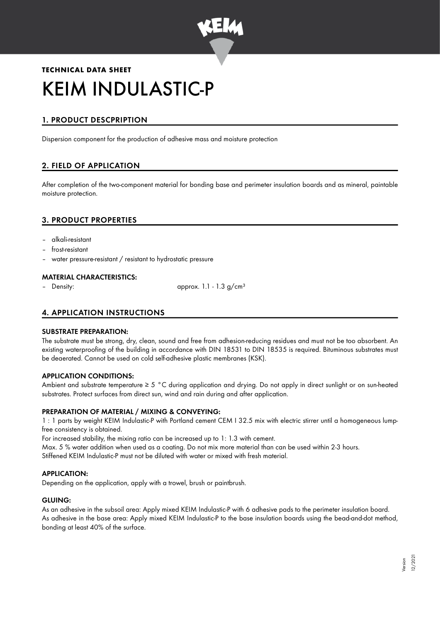

# **TECHNICAL DATA SHEET** KEIM INDULASTIC-P

# 1. PRODUCT DESCPRIPTION

Dispersion component for the production of adhesive mass and moisture protection

# 2. FIELD OF APPLICATION

After completion of the two-component material for bonding base and perimeter insulation boards and as mineral, paintable moisture protection.

# 3. PRODUCT PROPERTIES

- alkali-resistant
- frost-resistant
- water pressure-resistant / resistant to hydrostatic pressure

## MATERIAL CHARACTERISTICS:

Density:  $\qquad \qquad \text{approx. 1.1 - 1.3 g/cm}^3$ 

# 4. APPLICATION INSTRUCTIONS

#### SUBSTRATE PREPARATION:

The substrate must be strong, dry, clean, sound and free from adhesion-reducing residues and must not be too absorbent. An existing waterproofing of the building in accordance with DIN 18531 to DIN 18535 is required. Bituminous substrates must be deaerated. Cannot be used on cold self-adhesive plastic membranes (KSK).

#### APPLICATION CONDITIONS:

Ambient and substrate temperature ≥ 5 °C during application and drying. Do not apply in direct sunlight or on sun-heated substrates. Protect surfaces from direct sun, wind and rain during and after application.

#### PREPARATION OF MATERIAL / MIXING & CONVEYING:

1 : 1 parts by weight KEIM Indulastic-P with Portland cement CEM I 32.5 mix with electric stirrer until a homogeneous lumpfree consistency is obtained.

For increased stability, the mixing ratio can be increased up to 1: 1.3 with cement.

Max. 5 % water addition when used as a coating. Do not mix more material than can be used within 2-3 hours. Stiffened KEIM Indulastic-P must not be diluted with water or mixed with fresh material.

## APPLICATION:

Depending on the application, apply with a trowel, brush or paintbrush.

#### GLUING:

As an adhesive in the subsoil area: Apply mixed KEIM Indulastic-P with 6 adhesive pads to the perimeter insulation board. As adhesive in the base area: Apply mixed KEIM Indulastic-P to the base insulation boards using the bead-and-dot method, bonding at least 40% of the surface.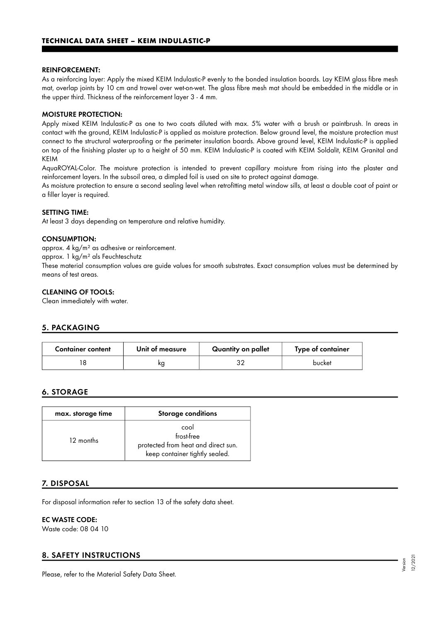#### REINFORCEMENT:

As a reinforcing layer: Apply the mixed KEIM Indulastic-P evenly to the bonded insulation boards. Lay KEIM glass fibre mesh mat, overlap joints by 10 cm and trowel over wet-on-wet. The glass fibre mesh mat should be embedded in the middle or in the upper third. Thickness of the reinforcement layer 3 - 4 mm.

#### MOISTURE PROTECTION:

Apply mixed KEIM Indulastic-P as one to two coats diluted with max. 5% water with a brush or paintbrush. In areas in contact with the ground, KEIM Indulastic-P is applied as moisture protection. Below ground level, the moisture protection must connect to the structural waterproofing or the perimeter insulation boards. Above ground level, KEIM Indulastic-P is applied on top of the finishing plaster up to a height of 50 mm. KEIM Indulastic-P is coated with KEIM Soldalit, KEIM Granital and KEIM

AquaROYAL-Color. The moisture protection is intended to prevent capillary moisture from rising into the plaster and reinforcement layers. In the subsoil area, a dimpled foil is used on site to protect against damage.

As moisture protection to ensure a second sealing level when retrofitting metal window sills, at least a double coat of paint or a filler layer is required.

#### SETTING TIME:

At least 3 days depending on temperature and relative humidity.

#### CONSUMPTION:

approx. 4 kg/m² as adhesive or reinforcement.

approx. 1 kg/m² als Feuchteschutz

These material consumption values are guide values for smooth substrates. Exact consumption values must be determined by means of test areas.

#### CLEANING OF TOOLS:

Clean immediately with water.

#### 5. PACKAGING

| <b>Container content</b> | Unit of measure | Quantity on pallet | Type of container |
|--------------------------|-----------------|--------------------|-------------------|
|                          | ĸg              |                    | bucket            |

#### 6. STORAGE

| max. storage time | <b>Storage conditions</b>                                                                   |  |
|-------------------|---------------------------------------------------------------------------------------------|--|
| 12 months         | cool<br>frost-free<br>protected from heat and direct sun.<br>keep container tightly sealed. |  |

#### 7. DISPOSAL

For disposal information refer to section 13 of the safety data sheet.

#### EC WASTE CODE:

Waste code: 08 04 10

# 8. SAFETY INSTRUCTIONS

Please, refer to the Material Safety Data Sheet.